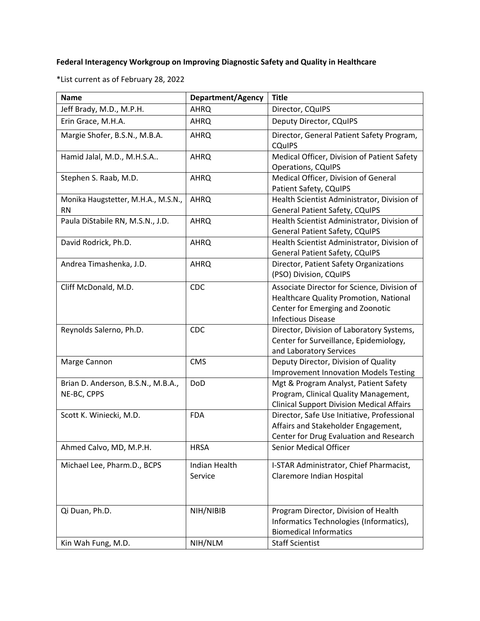## **Federal Interagency Workgroup on Improving Diagnostic Safety and Quality in Healthcare**

\*List current as of February 28, 2022

| <b>Name</b>                         | <b>Department/Agency</b> | <b>Title</b>                                     |
|-------------------------------------|--------------------------|--------------------------------------------------|
| Jeff Brady, M.D., M.P.H.            | <b>AHRQ</b>              | Director, CQuIPS                                 |
| Erin Grace, M.H.A.                  | <b>AHRQ</b>              | Deputy Director, CQuIPS                          |
| Margie Shofer, B.S.N., M.B.A.       | <b>AHRQ</b>              | Director, General Patient Safety Program,        |
|                                     |                          | <b>CQuIPS</b>                                    |
| Hamid Jalal, M.D., M.H.S.A          | <b>AHRQ</b>              | Medical Officer, Division of Patient Safety      |
|                                     |                          | <b>Operations, CQuIPS</b>                        |
| Stephen S. Raab, M.D.               | <b>AHRQ</b>              | Medical Officer, Division of General             |
|                                     |                          | Patient Safety, CQuIPS                           |
| Monika Haugstetter, M.H.A., M.S.N., | <b>AHRQ</b>              | Health Scientist Administrator, Division of      |
| <b>RN</b>                           |                          | <b>General Patient Safety, CQuIPS</b>            |
| Paula DiStabile RN, M.S.N., J.D.    | <b>AHRQ</b>              | Health Scientist Administrator, Division of      |
|                                     |                          | <b>General Patient Safety, CQuIPS</b>            |
| David Rodrick, Ph.D.                | <b>AHRQ</b>              | Health Scientist Administrator, Division of      |
|                                     |                          | <b>General Patient Safety, CQuIPS</b>            |
| Andrea Timashenka, J.D.             | <b>AHRQ</b>              | Director, Patient Safety Organizations           |
|                                     |                          | (PSO) Division, CQuIPS                           |
| Cliff McDonald, M.D.                | CDC                      | Associate Director for Science, Division of      |
|                                     |                          | Healthcare Quality Promotion, National           |
|                                     |                          | Center for Emerging and Zoonotic                 |
|                                     |                          | <b>Infectious Disease</b>                        |
| Reynolds Salerno, Ph.D.             | <b>CDC</b>               | Director, Division of Laboratory Systems,        |
|                                     |                          | Center for Surveillance, Epidemiology,           |
|                                     |                          | and Laboratory Services                          |
| Marge Cannon                        | <b>CMS</b>               | Deputy Director, Division of Quality             |
|                                     |                          | <b>Improvement Innovation Models Testing</b>     |
| Brian D. Anderson, B.S.N., M.B.A.,  | <b>DoD</b>               | Mgt & Program Analyst, Patient Safety            |
| NE-BC, CPPS                         |                          | Program, Clinical Quality Management,            |
|                                     |                          | <b>Clinical Support Division Medical Affairs</b> |
| Scott K. Winiecki, M.D.             | <b>FDA</b>               | Director, Safe Use Initiative, Professional      |
|                                     |                          | Affairs and Stakeholder Engagement,              |
|                                     |                          | Center for Drug Evaluation and Research          |
| Ahmed Calvo, MD, M.P.H.             | <b>HRSA</b>              | <b>Senior Medical Officer</b>                    |
| Michael Lee, Pharm.D., BCPS         | Indian Health            | I-STAR Administrator, Chief Pharmacist,          |
|                                     | Service                  | Claremore Indian Hospital                        |
|                                     |                          |                                                  |
|                                     |                          |                                                  |
| Qi Duan, Ph.D.                      | NIH/NIBIB                | Program Director, Division of Health             |
|                                     |                          | Informatics Technologies (Informatics),          |
|                                     |                          | <b>Biomedical Informatics</b>                    |
| Kin Wah Fung, M.D.                  | NIH/NLM                  | <b>Staff Scientist</b>                           |